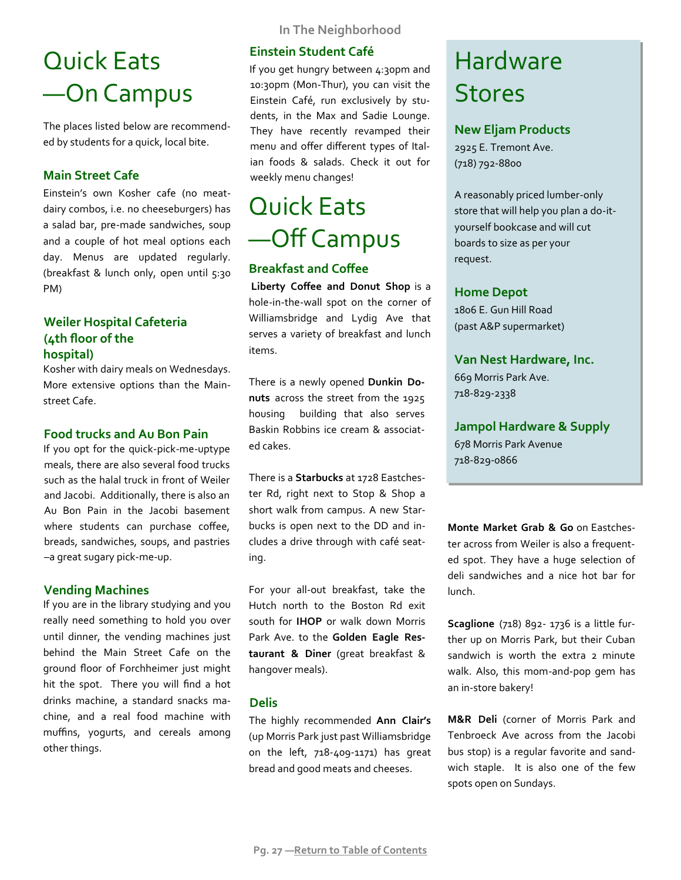# Quick Eats —On Campus

The places listed below are recommended by students for a quick, local bite.

## **Main Street Cafe**

Einstein's own Kosher cafe (no meatdairy combos, i.e. no cheeseburgers) has a salad bar, pre-made sandwiches, soup and a couple of hot meal options each day. Menus are updated regularly. (breakfast & lunch only, open until 5:30 PM)

## **Weiler Hospital Cafeteria ȋ͜th floor of the**  hospital)

Kosher with dairy meals on Wednesdays. More extensive options than the Mainstreet Cafe.

## **Food trucks and Au Bon Pain**

If you opt for the quick-pick-me-uptype meals, there are also several food trucks such as the halal truck in front of Weiler and Jacobi. Additionally, there is also an Au Bon Pain in the Jacobi basement where students can purchase coffee, breads, sandwiches, soups, and pastries –a great sugary pick-me-up.

## **Vending Machines**

If you are in the library studying and you really need something to hold you over until dinner, the vending machines just behind the Main Street Cafe on the ground floor of Forchheimer just might hit the spot. There you will find a hot drinks machine, a standard snacks machine, and a real food machine with muffins, yogurts, and cereals among other things.

**In The Neighborhood**

## **Einstein Student Café**

If you get hungry between 4:30pm and 10:30pm (Mon-Thur), you can visit the Einstein Café, run exclusively by students, in the Max and Sadie Lounge. They have recently revamped their menu and offer different types of Italian foods & salads. Check it out for weekly menu changes!

## Quick Eats —Off Campus

## **Breakfast and Coffee**

**Liberty Coffee and Donut Shop** is a hole-in-the-wall spot on the corner of Williamsbridge and Lydig Ave that serves a variety of breakfast and lunch items.

There is a newly opened **Dunkin Do**nuts across the street from the 1925 housing building that also serves Baskin Robbins ice cream & associated cakes.

There is a **Starbucks** at 1728 Eastchester Rd, right next to Stop & Shop a short walk from campus. A new Starbucks is open next to the DD and includes a drive through with café seating.

For your all-out breakfast, take the Hutch north to the Boston Rd exit south for **IHOP** or walk down Morris Park Ave. to the **Golden Eagle Restaurant & Diner** ȋgreat breakfast & hangover meals).

#### **Delis**

The highly recommended **Ann Clair's** ȋup Morris Park just past Williamsbridge on the left, 718-409-1171) has great bread and good meats and cheeses.

# Hardware Stores

## **New Eljam Products**

2925 E. Tremont Ave. (718) 792-8800

A reasonably priced lumber-only store that will help you plan a do-ityourself bookcase and will cut boards to size as per your request.

## **Home Depot**

1806 E. Gun Hill Road ȋpast A&P supermarketȌ

## **Van Nest Hardware, Inc.**

669 Morris Park Ave. 718-829-2338

## **Jampol Hardware & Supply**

͟͞͠ Morris Park Avenue 718-829-0866

**Monte Market Grab & Go** on Eastchester across from Weiler is also a frequented spot. They have a huge selection of deli sandwiches and a nice hot bar for lunch.

Scaglione (718) 892- 1736 is a little further up on Morris Park, but their Cuban sandwich is worth the extra 2 minute walk. Also, this mom-and-pop gem has an in-store bakery!

M&R Deli (corner of Morris Park and Tenbroeck Ave across from the Jacobi bus stop) is a regular favorite and sandwich staple. It is also one of the few spots open on Sundays.